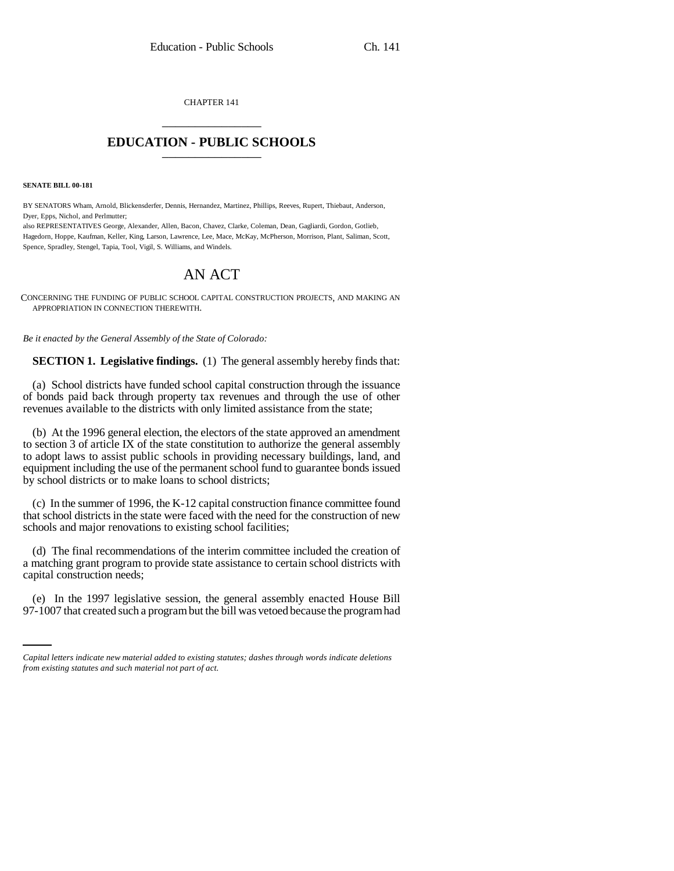CHAPTER 141 \_\_\_\_\_\_\_\_\_\_\_\_\_\_\_

## **EDUCATION - PUBLIC SCHOOLS** \_\_\_\_\_\_\_\_\_\_\_\_\_\_\_

**SENATE BILL 00-181** 

BY SENATORS Wham, Arnold, Blickensderfer, Dennis, Hernandez, Martinez, Phillips, Reeves, Rupert, Thiebaut, Anderson, Dyer, Epps, Nichol, and Perlmutter;

also REPRESENTATIVES George, Alexander, Allen, Bacon, Chavez, Clarke, Coleman, Dean, Gagliardi, Gordon, Gotlieb, Hagedorn, Hoppe, Kaufman, Keller, King, Larson, Lawrence, Lee, Mace, McKay, McPherson, Morrison, Plant, Saliman, Scott, Spence, Spradley, Stengel, Tapia, Tool, Vigil, S. Williams, and Windels.

# AN ACT

CONCERNING THE FUNDING OF PUBLIC SCHOOL CAPITAL CONSTRUCTION PROJECTS, AND MAKING AN APPROPRIATION IN CONNECTION THEREWITH.

*Be it enacted by the General Assembly of the State of Colorado:*

**SECTION 1. Legislative findings.** (1) The general assembly hereby finds that:

(a) School districts have funded school capital construction through the issuance of bonds paid back through property tax revenues and through the use of other revenues available to the districts with only limited assistance from the state;

(b) At the 1996 general election, the electors of the state approved an amendment to section 3 of article IX of the state constitution to authorize the general assembly to adopt laws to assist public schools in providing necessary buildings, land, and equipment including the use of the permanent school fund to guarantee bonds issued by school districts or to make loans to school districts;

(c) In the summer of 1996, the K-12 capital construction finance committee found that school districts in the state were faced with the need for the construction of new schools and major renovations to existing school facilities;

(d) The final recommendations of the interim committee included the creation of a matching grant program to provide state assistance to certain school districts with capital construction needs;

in<br>Salah (e) In the 1997 legislative session, the general assembly enacted House Bill 97-1007 that created such a program but the bill was vetoed because the program had

*Capital letters indicate new material added to existing statutes; dashes through words indicate deletions from existing statutes and such material not part of act.*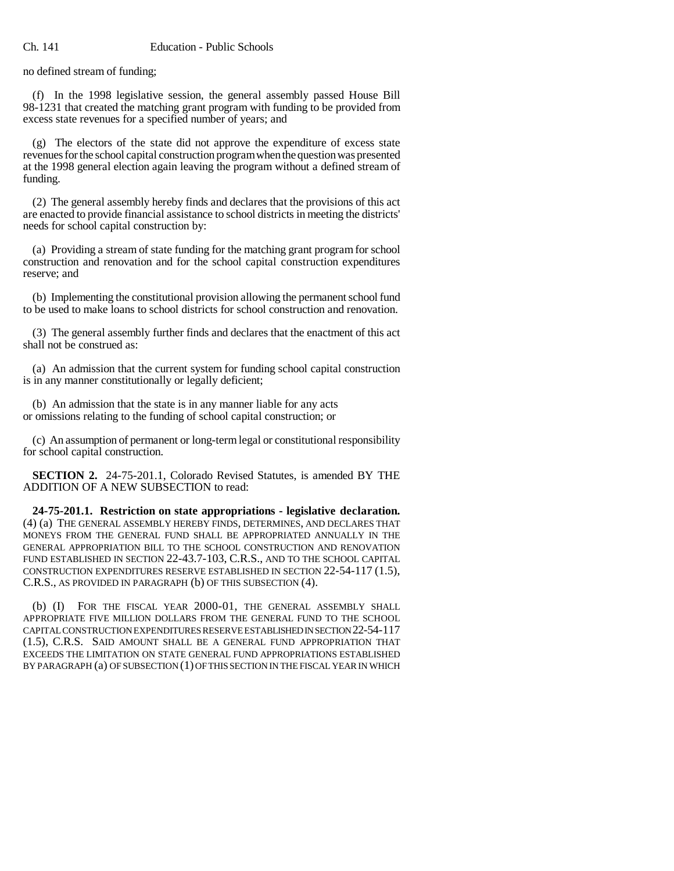no defined stream of funding;

(f) In the 1998 legislative session, the general assembly passed House Bill 98-1231 that created the matching grant program with funding to be provided from excess state revenues for a specified number of years; and

(g) The electors of the state did not approve the expenditure of excess state revenues for the school capital construction program when the question was presented at the 1998 general election again leaving the program without a defined stream of funding.

(2) The general assembly hereby finds and declares that the provisions of this act are enacted to provide financial assistance to school districts in meeting the districts' needs for school capital construction by:

(a) Providing a stream of state funding for the matching grant program for school construction and renovation and for the school capital construction expenditures reserve; and

(b) Implementing the constitutional provision allowing the permanent school fund to be used to make loans to school districts for school construction and renovation.

(3) The general assembly further finds and declares that the enactment of this act shall not be construed as:

(a) An admission that the current system for funding school capital construction is in any manner constitutionally or legally deficient;

(b) An admission that the state is in any manner liable for any acts or omissions relating to the funding of school capital construction; or

(c) An assumption of permanent or long-term legal or constitutional responsibility for school capital construction.

**SECTION 2.** 24-75-201.1, Colorado Revised Statutes, is amended BY THE ADDITION OF A NEW SUBSECTION to read:

**24-75-201.1. Restriction on state appropriations - legislative declaration.** (4) (a) THE GENERAL ASSEMBLY HEREBY FINDS, DETERMINES, AND DECLARES THAT MONEYS FROM THE GENERAL FUND SHALL BE APPROPRIATED ANNUALLY IN THE GENERAL APPROPRIATION BILL TO THE SCHOOL CONSTRUCTION AND RENOVATION FUND ESTABLISHED IN SECTION 22-43.7-103, C.R.S., AND TO THE SCHOOL CAPITAL CONSTRUCTION EXPENDITURES RESERVE ESTABLISHED IN SECTION 22-54-117 (1.5), C.R.S., AS PROVIDED IN PARAGRAPH (b) OF THIS SUBSECTION (4).

(b) (I) FOR THE FISCAL YEAR 2000-01, THE GENERAL ASSEMBLY SHALL APPROPRIATE FIVE MILLION DOLLARS FROM THE GENERAL FUND TO THE SCHOOL CAPITAL CONSTRUCTION EXPENDITURES RESERVE ESTABLISHED IN SECTION 22-54-117 (1.5), C.R.S. SAID AMOUNT SHALL BE A GENERAL FUND APPROPRIATION THAT EXCEEDS THE LIMITATION ON STATE GENERAL FUND APPROPRIATIONS ESTABLISHED BY PARAGRAPH (a) OF SUBSECTION (1) OF THIS SECTION IN THE FISCAL YEAR IN WHICH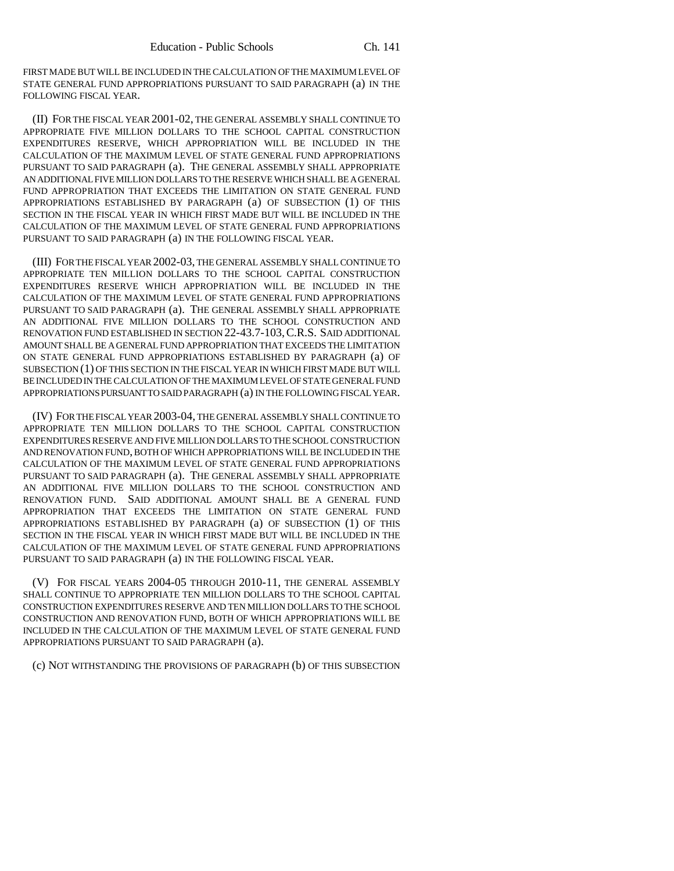FIRST MADE BUT WILL BE INCLUDED IN THE CALCULATION OF THE MAXIMUM LEVEL OF STATE GENERAL FUND APPROPRIATIONS PURSUANT TO SAID PARAGRAPH (a) IN THE FOLLOWING FISCAL YEAR.

(II) FOR THE FISCAL YEAR 2001-02, THE GENERAL ASSEMBLY SHALL CONTINUE TO APPROPRIATE FIVE MILLION DOLLARS TO THE SCHOOL CAPITAL CONSTRUCTION EXPENDITURES RESERVE, WHICH APPROPRIATION WILL BE INCLUDED IN THE CALCULATION OF THE MAXIMUM LEVEL OF STATE GENERAL FUND APPROPRIATIONS PURSUANT TO SAID PARAGRAPH (a). THE GENERAL ASSEMBLY SHALL APPROPRIATE AN ADDITIONAL FIVE MILLION DOLLARS TO THE RESERVE WHICH SHALL BE A GENERAL FUND APPROPRIATION THAT EXCEEDS THE LIMITATION ON STATE GENERAL FUND APPROPRIATIONS ESTABLISHED BY PARAGRAPH (a) OF SUBSECTION (1) OF THIS SECTION IN THE FISCAL YEAR IN WHICH FIRST MADE BUT WILL BE INCLUDED IN THE CALCULATION OF THE MAXIMUM LEVEL OF STATE GENERAL FUND APPROPRIATIONS PURSUANT TO SAID PARAGRAPH (a) IN THE FOLLOWING FISCAL YEAR.

(III) FOR THE FISCAL YEAR 2002-03, THE GENERAL ASSEMBLY SHALL CONTINUE TO APPROPRIATE TEN MILLION DOLLARS TO THE SCHOOL CAPITAL CONSTRUCTION EXPENDITURES RESERVE WHICH APPROPRIATION WILL BE INCLUDED IN THE CALCULATION OF THE MAXIMUM LEVEL OF STATE GENERAL FUND APPROPRIATIONS PURSUANT TO SAID PARAGRAPH (a). THE GENERAL ASSEMBLY SHALL APPROPRIATE AN ADDITIONAL FIVE MILLION DOLLARS TO THE SCHOOL CONSTRUCTION AND RENOVATION FUND ESTABLISHED IN SECTION 22-43.7-103,C.R.S. SAID ADDITIONAL AMOUNT SHALL BE A GENERAL FUND APPROPRIATION THAT EXCEEDS THE LIMITATION ON STATE GENERAL FUND APPROPRIATIONS ESTABLISHED BY PARAGRAPH (a) OF SUBSECTION (1) OF THIS SECTION IN THE FISCAL YEAR IN WHICH FIRST MADE BUT WILL BE INCLUDED IN THE CALCULATION OF THE MAXIMUM LEVEL OF STATE GENERAL FUND APPROPRIATIONS PURSUANT TO SAID PARAGRAPH (a) IN THE FOLLOWING FISCAL YEAR.

(IV) FOR THE FISCAL YEAR 2003-04, THE GENERAL ASSEMBLY SHALL CONTINUE TO APPROPRIATE TEN MILLION DOLLARS TO THE SCHOOL CAPITAL CONSTRUCTION EXPENDITURES RESERVE AND FIVE MILLION DOLLARS TO THE SCHOOL CONSTRUCTION AND RENOVATION FUND, BOTH OF WHICH APPROPRIATIONS WILL BE INCLUDED IN THE CALCULATION OF THE MAXIMUM LEVEL OF STATE GENERAL FUND APPROPRIATIONS PURSUANT TO SAID PARAGRAPH (a). THE GENERAL ASSEMBLY SHALL APPROPRIATE AN ADDITIONAL FIVE MILLION DOLLARS TO THE SCHOOL CONSTRUCTION AND RENOVATION FUND. SAID ADDITIONAL AMOUNT SHALL BE A GENERAL FUND APPROPRIATION THAT EXCEEDS THE LIMITATION ON STATE GENERAL FUND APPROPRIATIONS ESTABLISHED BY PARAGRAPH (a) OF SUBSECTION (1) OF THIS SECTION IN THE FISCAL YEAR IN WHICH FIRST MADE BUT WILL BE INCLUDED IN THE CALCULATION OF THE MAXIMUM LEVEL OF STATE GENERAL FUND APPROPRIATIONS PURSUANT TO SAID PARAGRAPH (a) IN THE FOLLOWING FISCAL YEAR.

(V) FOR FISCAL YEARS 2004-05 THROUGH 2010-11, THE GENERAL ASSEMBLY SHALL CONTINUE TO APPROPRIATE TEN MILLION DOLLARS TO THE SCHOOL CAPITAL CONSTRUCTION EXPENDITURES RESERVE AND TEN MILLION DOLLARS TO THE SCHOOL CONSTRUCTION AND RENOVATION FUND, BOTH OF WHICH APPROPRIATIONS WILL BE INCLUDED IN THE CALCULATION OF THE MAXIMUM LEVEL OF STATE GENERAL FUND APPROPRIATIONS PURSUANT TO SAID PARAGRAPH (a).

(c) NOT WITHSTANDING THE PROVISIONS OF PARAGRAPH (b) OF THIS SUBSECTION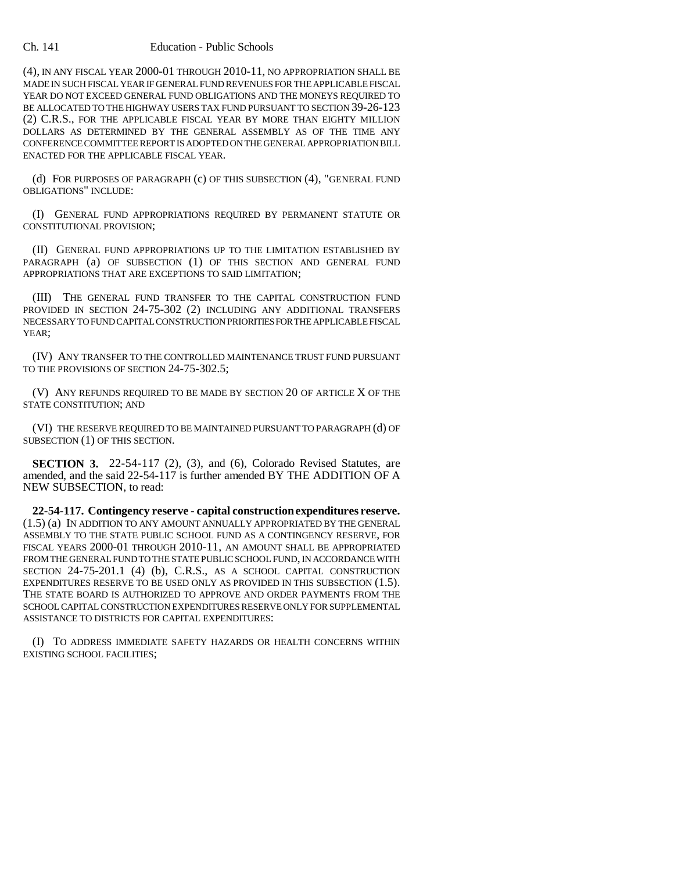#### Ch. 141 Education - Public Schools

(4), IN ANY FISCAL YEAR 2000-01 THROUGH 2010-11, NO APPROPRIATION SHALL BE MADE IN SUCH FISCAL YEAR IF GENERAL FUND REVENUES FOR THE APPLICABLE FISCAL YEAR DO NOT EXCEED GENERAL FUND OBLIGATIONS AND THE MONEYS REQUIRED TO BE ALLOCATED TO THE HIGHWAY USERS TAX FUND PURSUANT TO SECTION 39-26-123 (2) C.R.S., FOR THE APPLICABLE FISCAL YEAR BY MORE THAN EIGHTY MILLION DOLLARS AS DETERMINED BY THE GENERAL ASSEMBLY AS OF THE TIME ANY CONFERENCE COMMITTEE REPORT IS ADOPTED ON THE GENERAL APPROPRIATION BILL ENACTED FOR THE APPLICABLE FISCAL YEAR.

(d) FOR PURPOSES OF PARAGRAPH (c) OF THIS SUBSECTION (4), "GENERAL FUND OBLIGATIONS" INCLUDE:

(I) GENERAL FUND APPROPRIATIONS REQUIRED BY PERMANENT STATUTE OR CONSTITUTIONAL PROVISION;

(II) GENERAL FUND APPROPRIATIONS UP TO THE LIMITATION ESTABLISHED BY PARAGRAPH (a) OF SUBSECTION (1) OF THIS SECTION AND GENERAL FUND APPROPRIATIONS THAT ARE EXCEPTIONS TO SAID LIMITATION;

(III) THE GENERAL FUND TRANSFER TO THE CAPITAL CONSTRUCTION FUND PROVIDED IN SECTION 24-75-302 (2) INCLUDING ANY ADDITIONAL TRANSFERS NECESSARY TO FUND CAPITAL CONSTRUCTION PRIORITIES FOR THE APPLICABLE FISCAL YEAR;

(IV) ANY TRANSFER TO THE CONTROLLED MAINTENANCE TRUST FUND PURSUANT TO THE PROVISIONS OF SECTION 24-75-302.5;

(V) ANY REFUNDS REQUIRED TO BE MADE BY SECTION 20 OF ARTICLE X OF THE STATE CONSTITUTION; AND

(VI) THE RESERVE REQUIRED TO BE MAINTAINED PURSUANT TO PARAGRAPH (d) OF SUBSECTION (1) OF THIS SECTION.

**SECTION 3.** 22-54-117 (2), (3), and (6), Colorado Revised Statutes, are amended, and the said 22-54-117 is further amended BY THE ADDITION OF A NEW SUBSECTION, to read:

**22-54-117. Contingency reserve - capital construction expenditures reserve.** (1.5) (a) IN ADDITION TO ANY AMOUNT ANNUALLY APPROPRIATED BY THE GENERAL ASSEMBLY TO THE STATE PUBLIC SCHOOL FUND AS A CONTINGENCY RESERVE, FOR FISCAL YEARS 2000-01 THROUGH 2010-11, AN AMOUNT SHALL BE APPROPRIATED FROM THE GENERAL FUND TO THE STATE PUBLIC SCHOOL FUND, IN ACCORDANCE WITH SECTION 24-75-201.1 (4) (b), C.R.S., AS A SCHOOL CAPITAL CONSTRUCTION EXPENDITURES RESERVE TO BE USED ONLY AS PROVIDED IN THIS SUBSECTION (1.5). THE STATE BOARD IS AUTHORIZED TO APPROVE AND ORDER PAYMENTS FROM THE SCHOOL CAPITAL CONSTRUCTION EXPENDITURES RESERVE ONLY FOR SUPPLEMENTAL ASSISTANCE TO DISTRICTS FOR CAPITAL EXPENDITURES:

(I) TO ADDRESS IMMEDIATE SAFETY HAZARDS OR HEALTH CONCERNS WITHIN EXISTING SCHOOL FACILITIES;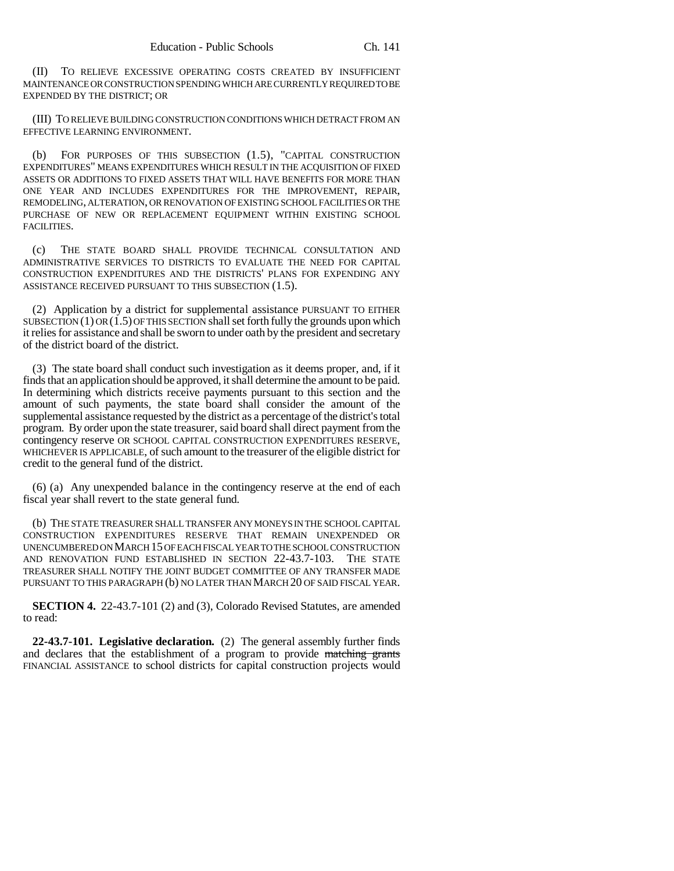(II) TO RELIEVE EXCESSIVE OPERATING COSTS CREATED BY INSUFFICIENT MAINTENANCE OR CONSTRUCTION SPENDING WHICH ARE CURRENTLY REQUIRED TO BE EXPENDED BY THE DISTRICT; OR

(III) TO RELIEVE BUILDING CONSTRUCTION CONDITIONS WHICH DETRACT FROM AN EFFECTIVE LEARNING ENVIRONMENT.

(b) FOR PURPOSES OF THIS SUBSECTION (1.5), "CAPITAL CONSTRUCTION EXPENDITURES" MEANS EXPENDITURES WHICH RESULT IN THE ACQUISITION OF FIXED ASSETS OR ADDITIONS TO FIXED ASSETS THAT WILL HAVE BENEFITS FOR MORE THAN ONE YEAR AND INCLUDES EXPENDITURES FOR THE IMPROVEMENT, REPAIR, REMODELING, ALTERATION, OR RENOVATION OF EXISTING SCHOOL FACILITIES OR THE PURCHASE OF NEW OR REPLACEMENT EQUIPMENT WITHIN EXISTING SCHOOL FACILITIES.

(c) THE STATE BOARD SHALL PROVIDE TECHNICAL CONSULTATION AND ADMINISTRATIVE SERVICES TO DISTRICTS TO EVALUATE THE NEED FOR CAPITAL CONSTRUCTION EXPENDITURES AND THE DISTRICTS' PLANS FOR EXPENDING ANY ASSISTANCE RECEIVED PURSUANT TO THIS SUBSECTION (1.5).

(2) Application by a district for supplemental assistance PURSUANT TO EITHER SUBSECTION  $(1)$  OR  $(1.5)$  OF THIS SECTION shall set forth fully the grounds upon which it relies for assistance and shall be sworn to under oath by the president and secretary of the district board of the district.

(3) The state board shall conduct such investigation as it deems proper, and, if it finds that an application should be approved, it shall determine the amount to be paid. In determining which districts receive payments pursuant to this section and the amount of such payments, the state board shall consider the amount of the supplemental assistance requested by the district as a percentage of the district's total program. By order upon the state treasurer, said board shall direct payment from the contingency reserve OR SCHOOL CAPITAL CONSTRUCTION EXPENDITURES RESERVE, WHICHEVER IS APPLICABLE, of such amount to the treasurer of the eligible district for credit to the general fund of the district.

(6) (a) Any unexpended balance in the contingency reserve at the end of each fiscal year shall revert to the state general fund.

(b) THE STATE TREASURER SHALL TRANSFER ANY MONEYS IN THE SCHOOL CAPITAL CONSTRUCTION EXPENDITURES RESERVE THAT REMAIN UNEXPENDED OR UNENCUMBERED ON MARCH 15 OF EACH FISCAL YEAR TO THE SCHOOL CONSTRUCTION AND RENOVATION FUND ESTABLISHED IN SECTION 22-43.7-103. THE STATE TREASURER SHALL NOTIFY THE JOINT BUDGET COMMITTEE OF ANY TRANSFER MADE PURSUANT TO THIS PARAGRAPH (b) NO LATER THAN MARCH 20 OF SAID FISCAL YEAR.

**SECTION 4.** 22-43.7-101 (2) and (3), Colorado Revised Statutes, are amended to read:

**22-43.7-101. Legislative declaration.** (2) The general assembly further finds and declares that the establishment of a program to provide matching grants FINANCIAL ASSISTANCE to school districts for capital construction projects would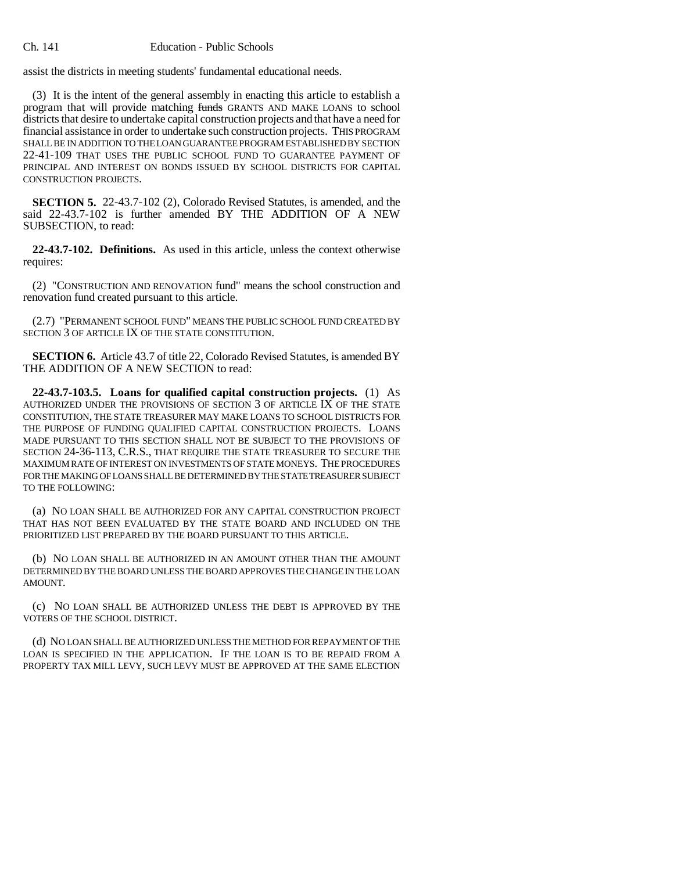assist the districts in meeting students' fundamental educational needs.

(3) It is the intent of the general assembly in enacting this article to establish a program that will provide matching funds GRANTS AND MAKE LOANS to school districts that desire to undertake capital construction projects and that have a need for financial assistance in order to undertake such construction projects. THIS PROGRAM SHALL BE IN ADDITION TO THE LOAN GUARANTEE PROGRAM ESTABLISHED BY SECTION 22-41-109 THAT USES THE PUBLIC SCHOOL FUND TO GUARANTEE PAYMENT OF PRINCIPAL AND INTEREST ON BONDS ISSUED BY SCHOOL DISTRICTS FOR CAPITAL CONSTRUCTION PROJECTS.

**SECTION 5.** 22-43.7-102 (2), Colorado Revised Statutes, is amended, and the said 22-43.7-102 is further amended BY THE ADDITION OF A NEW SUBSECTION, to read:

**22-43.7-102. Definitions.** As used in this article, unless the context otherwise requires:

(2) "CONSTRUCTION AND RENOVATION fund" means the school construction and renovation fund created pursuant to this article.

(2.7) "PERMANENT SCHOOL FUND" MEANS THE PUBLIC SCHOOL FUND CREATED BY SECTION 3 OF ARTICLE IX OF THE STATE CONSTITUTION.

**SECTION 6.** Article 43.7 of title 22, Colorado Revised Statutes, is amended BY THE ADDITION OF A NEW SECTION to read:

**22-43.7-103.5. Loans for qualified capital construction projects.** (1) AS AUTHORIZED UNDER THE PROVISIONS OF SECTION 3 OF ARTICLE IX OF THE STATE CONSTITUTION, THE STATE TREASURER MAY MAKE LOANS TO SCHOOL DISTRICTS FOR THE PURPOSE OF FUNDING QUALIFIED CAPITAL CONSTRUCTION PROJECTS. LOANS MADE PURSUANT TO THIS SECTION SHALL NOT BE SUBJECT TO THE PROVISIONS OF SECTION 24-36-113, C.R.S., THAT REQUIRE THE STATE TREASURER TO SECURE THE MAXIMUM RATE OF INTEREST ON INVESTMENTS OF STATE MONEYS. THE PROCEDURES FOR THE MAKING OF LOANS SHALL BE DETERMINED BY THE STATE TREASURER SUBJECT TO THE FOLLOWING:

(a) NO LOAN SHALL BE AUTHORIZED FOR ANY CAPITAL CONSTRUCTION PROJECT THAT HAS NOT BEEN EVALUATED BY THE STATE BOARD AND INCLUDED ON THE PRIORITIZED LIST PREPARED BY THE BOARD PURSUANT TO THIS ARTICLE.

(b) NO LOAN SHALL BE AUTHORIZED IN AN AMOUNT OTHER THAN THE AMOUNT DETERMINED BY THE BOARD UNLESS THE BOARD APPROVES THE CHANGE IN THE LOAN AMOUNT.

(c) NO LOAN SHALL BE AUTHORIZED UNLESS THE DEBT IS APPROVED BY THE VOTERS OF THE SCHOOL DISTRICT.

(d) NO LOAN SHALL BE AUTHORIZED UNLESS THE METHOD FOR REPAYMENT OF THE LOAN IS SPECIFIED IN THE APPLICATION. IF THE LOAN IS TO BE REPAID FROM A PROPERTY TAX MILL LEVY, SUCH LEVY MUST BE APPROVED AT THE SAME ELECTION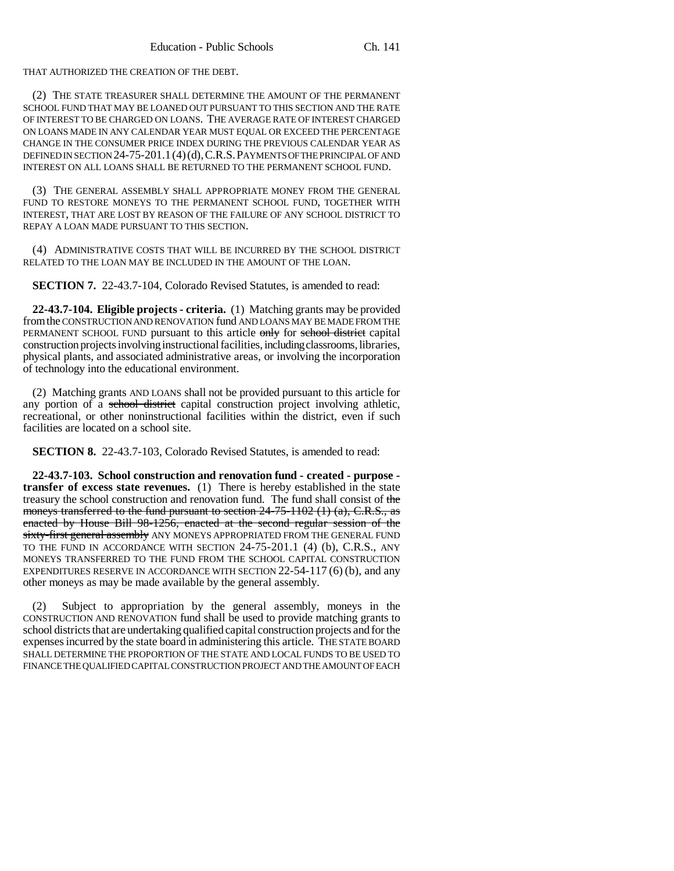THAT AUTHORIZED THE CREATION OF THE DEBT.

(2) THE STATE TREASURER SHALL DETERMINE THE AMOUNT OF THE PERMANENT SCHOOL FUND THAT MAY BE LOANED OUT PURSUANT TO THIS SECTION AND THE RATE OF INTEREST TO BE CHARGED ON LOANS. THE AVERAGE RATE OF INTEREST CHARGED ON LOANS MADE IN ANY CALENDAR YEAR MUST EQUAL OR EXCEED THE PERCENTAGE CHANGE IN THE CONSUMER PRICE INDEX DURING THE PREVIOUS CALENDAR YEAR AS DEFINED IN SECTION 24-75-201.1(4)(d),C.R.S.PAYMENTS OF THE PRINCIPAL OF AND INTEREST ON ALL LOANS SHALL BE RETURNED TO THE PERMANENT SCHOOL FUND.

(3) THE GENERAL ASSEMBLY SHALL APPROPRIATE MONEY FROM THE GENERAL FUND TO RESTORE MONEYS TO THE PERMANENT SCHOOL FUND, TOGETHER WITH INTEREST, THAT ARE LOST BY REASON OF THE FAILURE OF ANY SCHOOL DISTRICT TO REPAY A LOAN MADE PURSUANT TO THIS SECTION.

(4) ADMINISTRATIVE COSTS THAT WILL BE INCURRED BY THE SCHOOL DISTRICT RELATED TO THE LOAN MAY BE INCLUDED IN THE AMOUNT OF THE LOAN.

**SECTION 7.** 22-43.7-104, Colorado Revised Statutes, is amended to read:

**22-43.7-104. Eligible projects - criteria.** (1) Matching grants may be provided from the CONSTRUCTION AND RENOVATION fund AND LOANS MAY BE MADE FROM THE PERMANENT SCHOOL FUND pursuant to this article only for school district capital construction projects involving instructional facilities, including classrooms, libraries, physical plants, and associated administrative areas, or involving the incorporation of technology into the educational environment.

(2) Matching grants AND LOANS shall not be provided pursuant to this article for any portion of a school district capital construction project involving athletic, recreational, or other noninstructional facilities within the district, even if such facilities are located on a school site.

**SECTION 8.** 22-43.7-103, Colorado Revised Statutes, is amended to read:

**22-43.7-103. School construction and renovation fund - created - purpose transfer of excess state revenues.** (1) There is hereby established in the state treasury the school construction and renovation fund. The fund shall consist of the moneys transferred to the fund pursuant to section  $24-75-1102$  (1) (a), C.R.S., as enacted by House Bill 98-1256, enacted at the second regular session of the sixty-first general assembly ANY MONEYS APPROPRIATED FROM THE GENERAL FUND TO THE FUND IN ACCORDANCE WITH SECTION 24-75-201.1 (4) (b), C.R.S., ANY MONEYS TRANSFERRED TO THE FUND FROM THE SCHOOL CAPITAL CONSTRUCTION EXPENDITURES RESERVE IN ACCORDANCE WITH SECTION  $22-54-117(6)$  (b), and any other moneys as may be made available by the general assembly.

(2) Subject to appropriation by the general assembly, moneys in the CONSTRUCTION AND RENOVATION fund shall be used to provide matching grants to school districts that are undertaking qualified capital construction projects and for the expenses incurred by the state board in administering this article. THE STATE BOARD SHALL DETERMINE THE PROPORTION OF THE STATE AND LOCAL FUNDS TO BE USED TO FINANCE THE QUALIFIED CAPITAL CONSTRUCTION PROJECT AND THE AMOUNT OF EACH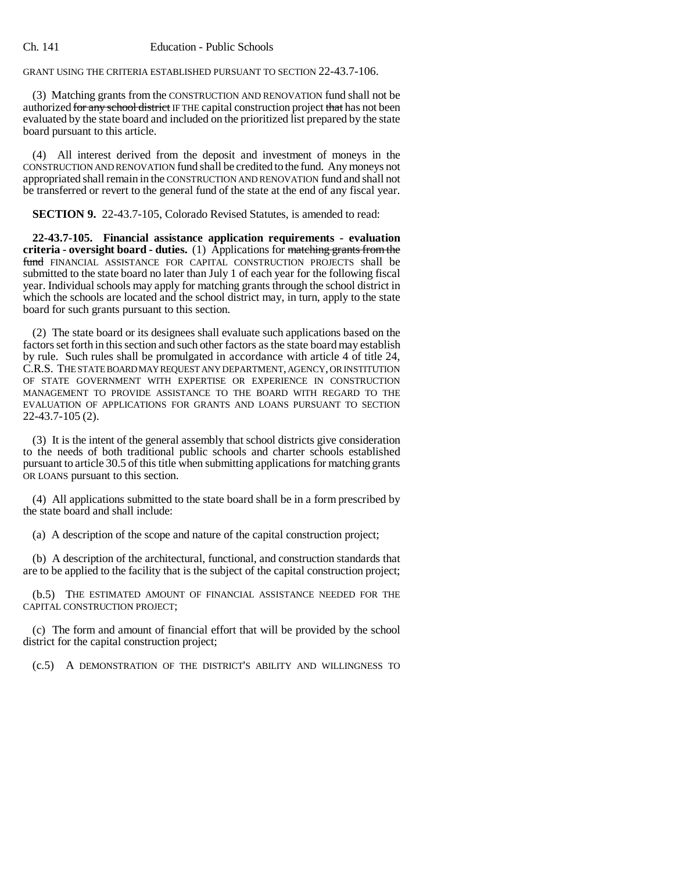GRANT USING THE CRITERIA ESTABLISHED PURSUANT TO SECTION 22-43.7-106.

(3) Matching grants from the CONSTRUCTION AND RENOVATION fund shall not be authorized for any school district IF THE capital construction project that has not been evaluated by the state board and included on the prioritized list prepared by the state board pursuant to this article.

(4) All interest derived from the deposit and investment of moneys in the CONSTRUCTION AND RENOVATION fund shall be credited to the fund. Any moneys not appropriated shall remain in the CONSTRUCTION AND RENOVATION fund and shall not be transferred or revert to the general fund of the state at the end of any fiscal year.

**SECTION 9.** 22-43.7-105, Colorado Revised Statutes, is amended to read:

**22-43.7-105. Financial assistance application requirements - evaluation criteria - oversight board - duties.** (1) Applications for matching grants from the fund FINANCIAL ASSISTANCE FOR CAPITAL CONSTRUCTION PROJECTS shall be submitted to the state board no later than July 1 of each year for the following fiscal year. Individual schools may apply for matching grants through the school district in which the schools are located and the school district may, in turn, apply to the state board for such grants pursuant to this section.

(2) The state board or its designees shall evaluate such applications based on the factors set forth in this section and such other factors as the state board may establish by rule. Such rules shall be promulgated in accordance with article 4 of title 24, C.R.S. THE STATE BOARD MAY REQUEST ANY DEPARTMENT, AGENCY, OR INSTITUTION OF STATE GOVERNMENT WITH EXPERTISE OR EXPERIENCE IN CONSTRUCTION MANAGEMENT TO PROVIDE ASSISTANCE TO THE BOARD WITH REGARD TO THE EVALUATION OF APPLICATIONS FOR GRANTS AND LOANS PURSUANT TO SECTION 22-43.7-105 (2).

(3) It is the intent of the general assembly that school districts give consideration to the needs of both traditional public schools and charter schools established pursuant to article 30.5 of this title when submitting applications for matching grants OR LOANS pursuant to this section.

(4) All applications submitted to the state board shall be in a form prescribed by the state board and shall include:

(a) A description of the scope and nature of the capital construction project;

(b) A description of the architectural, functional, and construction standards that are to be applied to the facility that is the subject of the capital construction project;

(b.5) THE ESTIMATED AMOUNT OF FINANCIAL ASSISTANCE NEEDED FOR THE CAPITAL CONSTRUCTION PROJECT;

(c) The form and amount of financial effort that will be provided by the school district for the capital construction project;

(c.5) A DEMONSTRATION OF THE DISTRICT'S ABILITY AND WILLINGNESS TO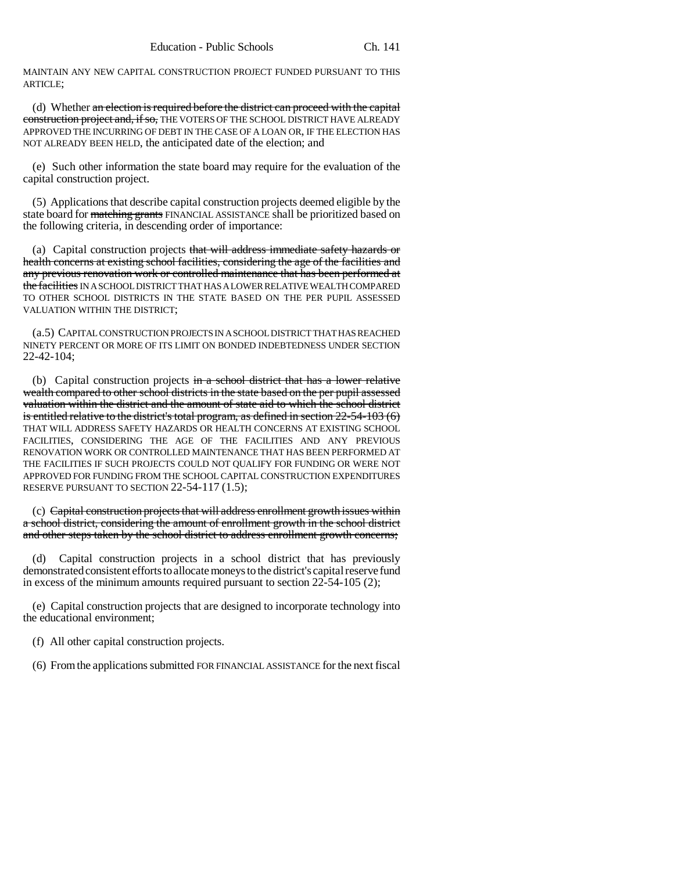MAINTAIN ANY NEW CAPITAL CONSTRUCTION PROJECT FUNDED PURSUANT TO THIS ARTICLE;

(d) Whether an election is required before the district can proceed with the capital construction project and, if so, THE VOTERS OF THE SCHOOL DISTRICT HAVE ALREADY APPROVED THE INCURRING OF DEBT IN THE CASE OF A LOAN OR, IF THE ELECTION HAS NOT ALREADY BEEN HELD, the anticipated date of the election; and

(e) Such other information the state board may require for the evaluation of the capital construction project.

(5) Applications that describe capital construction projects deemed eligible by the state board for matching grants FINANCIAL ASSISTANCE shall be prioritized based on the following criteria, in descending order of importance:

(a) Capital construction projects that will address immediate safety hazards or health concerns at existing school facilities, considering the age of the facilities and any previous renovation work or controlled maintenance that has been performed at the facilities IN A SCHOOL DISTRICT THAT HAS A LOWER RELATIVE WEALTH COMPARED TO OTHER SCHOOL DISTRICTS IN THE STATE BASED ON THE PER PUPIL ASSESSED VALUATION WITHIN THE DISTRICT;

(a.5) CAPITAL CONSTRUCTION PROJECTS IN A SCHOOL DISTRICT THAT HAS REACHED NINETY PERCENT OR MORE OF ITS LIMIT ON BONDED INDEBTEDNESS UNDER SECTION 22-42-104;

(b) Capital construction projects in a school district that has a lower relative wealth compared to other school districts in the state based on the per pupil assessed valuation within the district and the amount of state aid to which the school district is entitled relative to the district's total program, as defined in section 22-54-103 (6) THAT WILL ADDRESS SAFETY HAZARDS OR HEALTH CONCERNS AT EXISTING SCHOOL FACILITIES, CONSIDERING THE AGE OF THE FACILITIES AND ANY PREVIOUS RENOVATION WORK OR CONTROLLED MAINTENANCE THAT HAS BEEN PERFORMED AT THE FACILITIES IF SUCH PROJECTS COULD NOT QUALIFY FOR FUNDING OR WERE NOT APPROVED FOR FUNDING FROM THE SCHOOL CAPITAL CONSTRUCTION EXPENDITURES RESERVE PURSUANT TO SECTION 22-54-117 (1.5);

(c) Capital construction projects that will address enrollment growth issues within a school district, considering the amount of enrollment growth in the school district and other steps taken by the school district to address enrollment growth concerns;

(d) Capital construction projects in a school district that has previously demonstrated consistent efforts to allocate moneys to the district's capital reserve fund in excess of the minimum amounts required pursuant to section 22-54-105 (2);

(e) Capital construction projects that are designed to incorporate technology into the educational environment;

(f) All other capital construction projects.

(6) From the applications submitted FOR FINANCIAL ASSISTANCE for the next fiscal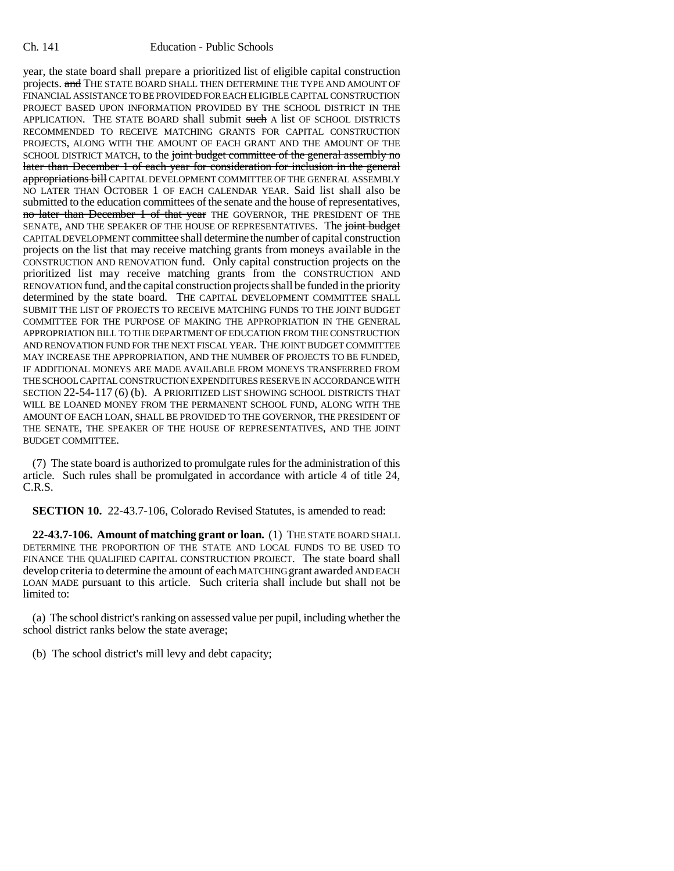year, the state board shall prepare a prioritized list of eligible capital construction projects. and THE STATE BOARD SHALL THEN DETERMINE THE TYPE AND AMOUNT OF FINANCIAL ASSISTANCE TO BE PROVIDED FOR EACH ELIGIBLE CAPITAL CONSTRUCTION PROJECT BASED UPON INFORMATION PROVIDED BY THE SCHOOL DISTRICT IN THE APPLICATION. THE STATE BOARD shall submit such A list OF SCHOOL DISTRICTS RECOMMENDED TO RECEIVE MATCHING GRANTS FOR CAPITAL CONSTRUCTION PROJECTS, ALONG WITH THE AMOUNT OF EACH GRANT AND THE AMOUNT OF THE SCHOOL DISTRICT MATCH, to the joint budget committee of the general assembly no later than December 1 of each year for consideration for inclusion in the general appropriations bill CAPITAL DEVELOPMENT COMMITTEE OF THE GENERAL ASSEMBLY NO LATER THAN OCTOBER 1 OF EACH CALENDAR YEAR. Said list shall also be submitted to the education committees of the senate and the house of representatives, no later than December 1 of that year THE GOVERNOR, THE PRESIDENT OF THE SENATE, AND THE SPEAKER OF THE HOUSE OF REPRESENTATIVES. The joint budget CAPITAL DEVELOPMENT committee shall determine the number of capital construction projects on the list that may receive matching grants from moneys available in the CONSTRUCTION AND RENOVATION fund. Only capital construction projects on the prioritized list may receive matching grants from the CONSTRUCTION AND RENOVATION fund, and the capital construction projects shall be funded in the priority determined by the state board. THE CAPITAL DEVELOPMENT COMMITTEE SHALL SUBMIT THE LIST OF PROJECTS TO RECEIVE MATCHING FUNDS TO THE JOINT BUDGET COMMITTEE FOR THE PURPOSE OF MAKING THE APPROPRIATION IN THE GENERAL APPROPRIATION BILL TO THE DEPARTMENT OF EDUCATION FROM THE CONSTRUCTION AND RENOVATION FUND FOR THE NEXT FISCAL YEAR. THE JOINT BUDGET COMMITTEE MAY INCREASE THE APPROPRIATION, AND THE NUMBER OF PROJECTS TO BE FUNDED, IF ADDITIONAL MONEYS ARE MADE AVAILABLE FROM MONEYS TRANSFERRED FROM THE SCHOOL CAPITAL CONSTRUCTION EXPENDITURES RESERVE IN ACCORDANCE WITH SECTION 22-54-117 (6) (b). A PRIORITIZED LIST SHOWING SCHOOL DISTRICTS THAT WILL BE LOANED MONEY FROM THE PERMANENT SCHOOL FUND, ALONG WITH THE AMOUNT OF EACH LOAN, SHALL BE PROVIDED TO THE GOVERNOR, THE PRESIDENT OF THE SENATE, THE SPEAKER OF THE HOUSE OF REPRESENTATIVES, AND THE JOINT BUDGET COMMITTEE.

(7) The state board is authorized to promulgate rules for the administration of this article. Such rules shall be promulgated in accordance with article 4 of title 24, C.R.S.

**SECTION 10.** 22-43.7-106, Colorado Revised Statutes, is amended to read:

**22-43.7-106. Amount of matching grant or loan.** (1) THE STATE BOARD SHALL DETERMINE THE PROPORTION OF THE STATE AND LOCAL FUNDS TO BE USED TO FINANCE THE QUALIFIED CAPITAL CONSTRUCTION PROJECT. The state board shall develop criteria to determine the amount of each MATCHING grant awarded AND EACH LOAN MADE pursuant to this article. Such criteria shall include but shall not be limited to:

(a) The school district's ranking on assessed value per pupil, including whether the school district ranks below the state average;

(b) The school district's mill levy and debt capacity;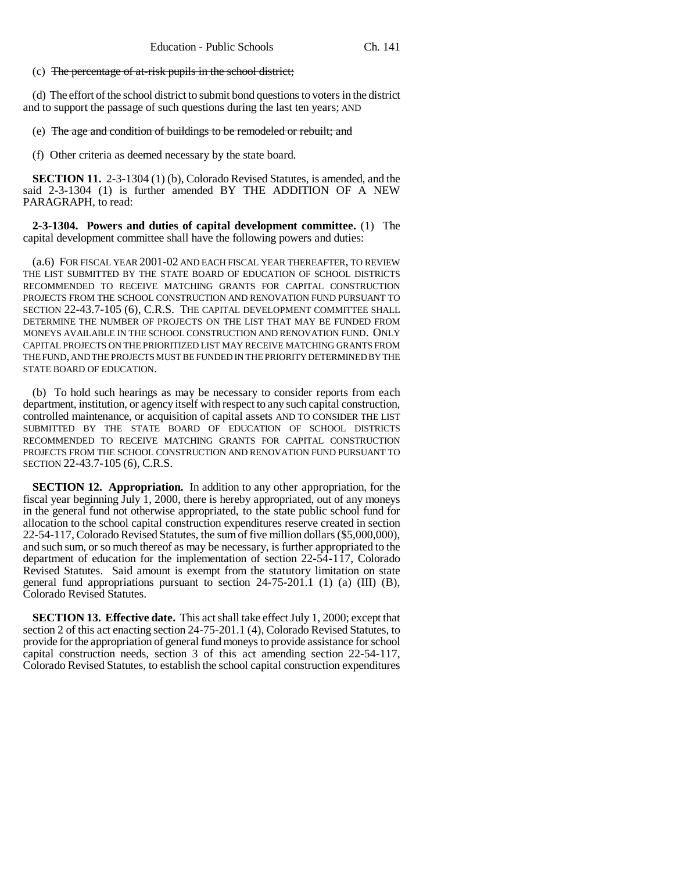#### (c) The percentage of at-risk pupils in the school district;

(d) The effort of the school district to submit bond questions to voters in the district and to support the passage of such questions during the last ten years; AND

(e) The age and condition of buildings to be remodeled or rebuilt; and

(f) Other criteria as deemed necessary by the state board.

**SECTION 11.** 2-3-1304 (1) (b), Colorado Revised Statutes, is amended, and the said 2-3-1304 (1) is further amended BY THE ADDITION OF A NEW PARAGRAPH, to read:

**2-3-1304. Powers and duties of capital development committee.** (1) The capital development committee shall have the following powers and duties:

(a.6) FOR FISCAL YEAR 2001-02 AND EACH FISCAL YEAR THEREAFTER, TO REVIEW THE LIST SUBMITTED BY THE STATE BOARD OF EDUCATION OF SCHOOL DISTRICTS RECOMMENDED TO RECEIVE MATCHING GRANTS FOR CAPITAL CONSTRUCTION PROJECTS FROM THE SCHOOL CONSTRUCTION AND RENOVATION FUND PURSUANT TO SECTION 22-43.7-105 (6), C.R.S. THE CAPITAL DEVELOPMENT COMMITTEE SHALL DETERMINE THE NUMBER OF PROJECTS ON THE LIST THAT MAY BE FUNDED FROM MONEYS AVAILABLE IN THE SCHOOL CONSTRUCTION AND RENOVATION FUND. ONLY CAPITAL PROJECTS ON THE PRIORITIZED LIST MAY RECEIVE MATCHING GRANTS FROM THE FUND, AND THE PROJECTS MUST BE FUNDED IN THE PRIORITY DETERMINED BY THE STATE BOARD OF EDUCATION.

(b) To hold such hearings as may be necessary to consider reports from each department, institution, or agency itself with respect to any such capital construction, controlled maintenance, or acquisition of capital assets AND TO CONSIDER THE LIST SUBMITTED BY THE STATE BOARD OF EDUCATION OF SCHOOL DISTRICTS RECOMMENDED TO RECEIVE MATCHING GRANTS FOR CAPITAL CONSTRUCTION PROJECTS FROM THE SCHOOL CONSTRUCTION AND RENOVATION FUND PURSUANT TO SECTION 22-43.7-105 (6), C.R.S.

**SECTION 12. Appropriation.** In addition to any other appropriation, for the fiscal year beginning July 1, 2000, there is hereby appropriated, out of any moneys in the general fund not otherwise appropriated, to the state public school fund for allocation to the school capital construction expenditures reserve created in section 22-54-117, Colorado Revised Statutes, the sum of five million dollars (\$5,000,000), and such sum, or so much thereof as may be necessary, is further appropriated to the department of education for the implementation of section 22-54-117, Colorado Revised Statutes. Said amount is exempt from the statutory limitation on state general fund appropriations pursuant to section  $24-75-201.1$  (1) (a) (III) (B), Colorado Revised Statutes.

**SECTION 13. Effective date.** This act shall take effect July 1, 2000; except that section 2 of this act enacting section 24-75-201.1 (4), Colorado Revised Statutes, to provide for the appropriation of general fund moneys to provide assistance for school capital construction needs, section 3 of this act amending section 22-54-117, Colorado Revised Statutes, to establish the school capital construction expenditures